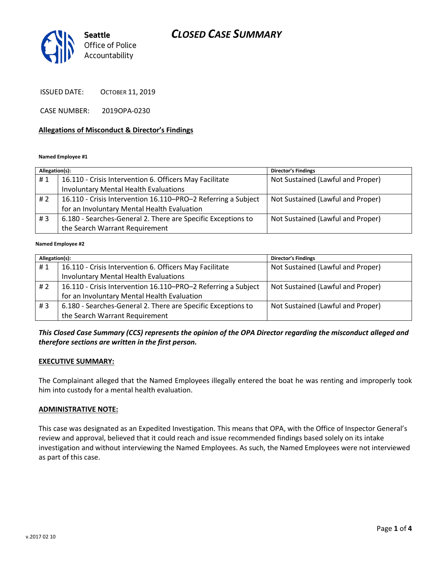# *CLOSED CASE SUMMARY*



ISSUED DATE: OCTOBER 11, 2019

CASE NUMBER: 2019OPA-0230

#### **Allegations of Misconduct & Director's Findings**

#### **Named Employee #1**

| Allegation(s): |                                                               | <b>Director's Findings</b>        |
|----------------|---------------------------------------------------------------|-----------------------------------|
| #1             | 16.110 - Crisis Intervention 6. Officers May Facilitate       | Not Sustained (Lawful and Proper) |
|                | <b>Involuntary Mental Health Evaluations</b>                  |                                   |
| #2             | 16.110 - Crisis Intervention 16.110-PRO-2 Referring a Subject | Not Sustained (Lawful and Proper) |
|                | for an Involuntary Mental Health Evaluation                   |                                   |
| #3             | 6.180 - Searches-General 2. There are Specific Exceptions to  | Not Sustained (Lawful and Proper) |
|                | the Search Warrant Requirement                                |                                   |
|                |                                                               |                                   |

#### **Named Employee #2**

| Allegation(s): |                                                               | <b>Director's Findings</b>        |
|----------------|---------------------------------------------------------------|-----------------------------------|
| #1             | 16.110 - Crisis Intervention 6. Officers May Facilitate       | Not Sustained (Lawful and Proper) |
|                | <b>Involuntary Mental Health Evaluations</b>                  |                                   |
| #2             | 16.110 - Crisis Intervention 16.110-PRO-2 Referring a Subject | Not Sustained (Lawful and Proper) |
|                | for an Involuntary Mental Health Evaluation                   |                                   |
| #3             | 6.180 - Searches-General 2. There are Specific Exceptions to  | Not Sustained (Lawful and Proper) |
|                | the Search Warrant Requirement                                |                                   |

### *This Closed Case Summary (CCS) represents the opinion of the OPA Director regarding the misconduct alleged and therefore sections are written in the first person.*

#### **EXECUTIVE SUMMARY:**

The Complainant alleged that the Named Employees illegally entered the boat he was renting and improperly took him into custody for a mental health evaluation.

#### **ADMINISTRATIVE NOTE:**

This case was designated as an Expedited Investigation. This means that OPA, with the Office of Inspector General's review and approval, believed that it could reach and issue recommended findings based solely on its intake investigation and without interviewing the Named Employees. As such, the Named Employees were not interviewed as part of this case.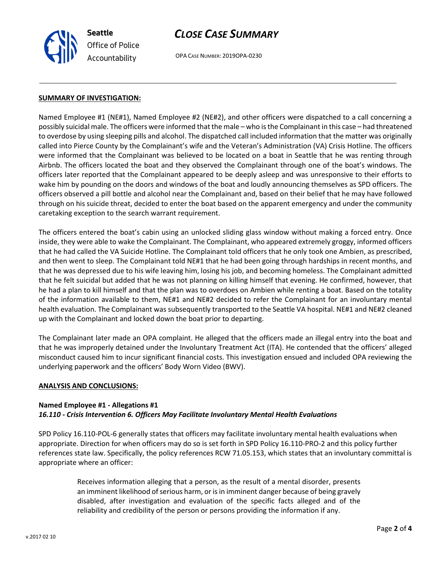

# *CLOSE CASE SUMMARY*

OPA CASE NUMBER: 2019OPA-0230

#### **SUMMARY OF INVESTIGATION:**

Named Employee #1 (NE#1), Named Employee #2 (NE#2), and other officers were dispatched to a call concerning a possibly suicidal male. The officers were informed that the male – who is the Complainant in this case – had threatened to overdose by using sleeping pills and alcohol. The dispatched call included information that the matter was originally called into Pierce County by the Complainant's wife and the Veteran's Administration (VA) Crisis Hotline. The officers were informed that the Complainant was believed to be located on a boat in Seattle that he was renting through Airbnb. The officers located the boat and they observed the Complainant through one of the boat's windows. The officers later reported that the Complainant appeared to be deeply asleep and was unresponsive to their efforts to wake him by pounding on the doors and windows of the boat and loudly announcing themselves as SPD officers. The officers observed a pill bottle and alcohol near the Complainant and, based on their belief that he may have followed through on his suicide threat, decided to enter the boat based on the apparent emergency and under the community caretaking exception to the search warrant requirement.

The officers entered the boat's cabin using an unlocked sliding glass window without making a forced entry. Once inside, they were able to wake the Complainant. The Complainant, who appeared extremely groggy, informed officers that he had called the VA Suicide Hotline. The Complainant told officers that he only took one Ambien, as prescribed, and then went to sleep. The Complainant told NE#1 that he had been going through hardships in recent months, and that he was depressed due to his wife leaving him, losing his job, and becoming homeless. The Complainant admitted that he felt suicidal but added that he was not planning on killing himself that evening. He confirmed, however, that he had a plan to kill himself and that the plan was to overdoes on Ambien while renting a boat. Based on the totality of the information available to them, NE#1 and NE#2 decided to refer the Complainant for an involuntary mental health evaluation. The Complainant was subsequently transported to the Seattle VA hospital. NE#1 and NE#2 cleaned up with the Complainant and locked down the boat prior to departing.

The Complainant later made an OPA complaint. He alleged that the officers made an illegal entry into the boat and that he was improperly detained under the Involuntary Treatment Act (ITA). He contended that the officers' alleged misconduct caused him to incur significant financial costs. This investigation ensued and included OPA reviewing the underlying paperwork and the officers' Body Worn Video (BWV).

#### **ANALYSIS AND CONCLUSIONS:**

#### **Named Employee #1 - Allegations #1** *16.110 - Crisis Intervention 6. Officers May Facilitate Involuntary Mental Health Evaluations*

SPD Policy 16.110-POL-6 generally states that officers may facilitate involuntary mental health evaluations when appropriate. Direction for when officers may do so is set forth in SPD Policy 16.110-PRO-2 and this policy further references state law. Specifically, the policy references RCW 71.05.153, which states that an involuntary committal is appropriate where an officer:

> Receives information alleging that a person, as the result of a mental disorder, presents an imminent likelihood of serious harm, or is in imminent danger because of being gravely disabled, after investigation and evaluation of the specific facts alleged and of the reliability and credibility of the person or persons providing the information if any.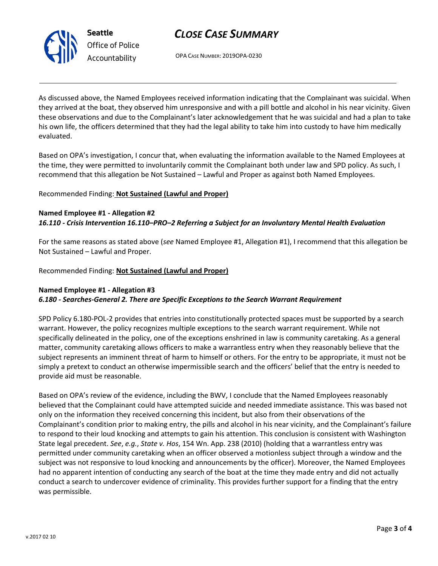

*Office of Police Accountability*

# *CLOSE CASE SUMMARY*

OPA CASE NUMBER: 2019OPA-0230

As discussed above, the Named Employees received information indicating that the Complainant was suicidal. When they arrived at the boat, they observed him unresponsive and with a pill bottle and alcohol in his near vicinity. Given these observations and due to the Complainant's later acknowledgement that he was suicidal and had a plan to take his own life, the officers determined that they had the legal ability to take him into custody to have him medically evaluated.

Based on OPA's investigation, I concur that, when evaluating the information available to the Named Employees at the time, they were permitted to involuntarily commit the Complainant both under law and SPD policy. As such, I recommend that this allegation be Not Sustained – Lawful and Proper as against both Named Employees.

Recommended Finding: **Not Sustained (Lawful and Proper)**

## **Named Employee #1 - Allegation #2** *16.110 - Crisis Intervention 16.110–PRO–2 Referring a Subject for an Involuntary Mental Health Evaluation*

For the same reasons as stated above (*see* Named Employee #1, Allegation #1), I recommend that this allegation be Not Sustained – Lawful and Proper.

Recommended Finding: **Not Sustained (Lawful and Proper)**

## **Named Employee #1 - Allegation #3**

## *6.180 - Searches-General 2. There are Specific Exceptions to the Search Warrant Requirement*

SPD Policy 6.180-POL-2 provides that entries into constitutionally protected spaces must be supported by a search warrant. However, the policy recognizes multiple exceptions to the search warrant requirement. While not specifically delineated in the policy, one of the exceptions enshrined in law is community caretaking. As a general matter, community caretaking allows officers to make a warrantless entry when they reasonably believe that the subject represents an imminent threat of harm to himself or others. For the entry to be appropriate, it must not be simply a pretext to conduct an otherwise impermissible search and the officers' belief that the entry is needed to provide aid must be reasonable.

Based on OPA's review of the evidence, including the BWV, I conclude that the Named Employees reasonably believed that the Complainant could have attempted suicide and needed immediate assistance. This was based not only on the information they received concerning this incident, but also from their observations of the Complainant's condition prior to making entry, the pills and alcohol in his near vicinity, and the Complainant's failure to respond to their loud knocking and attempts to gain his attention. This conclusion is consistent with Washington State legal precedent. *See*, *e.g.*, *State v. Hos*, 154 Wn. App. 238 (2010) (holding that a warrantless entry was permitted under community caretaking when an officer observed a motionless subject through a window and the subject was not responsive to loud knocking and announcements by the officer). Moreover, the Named Employees had no apparent intention of conducting any search of the boat at the time they made entry and did not actually conduct a search to undercover evidence of criminality. This provides further support for a finding that the entry was permissible.